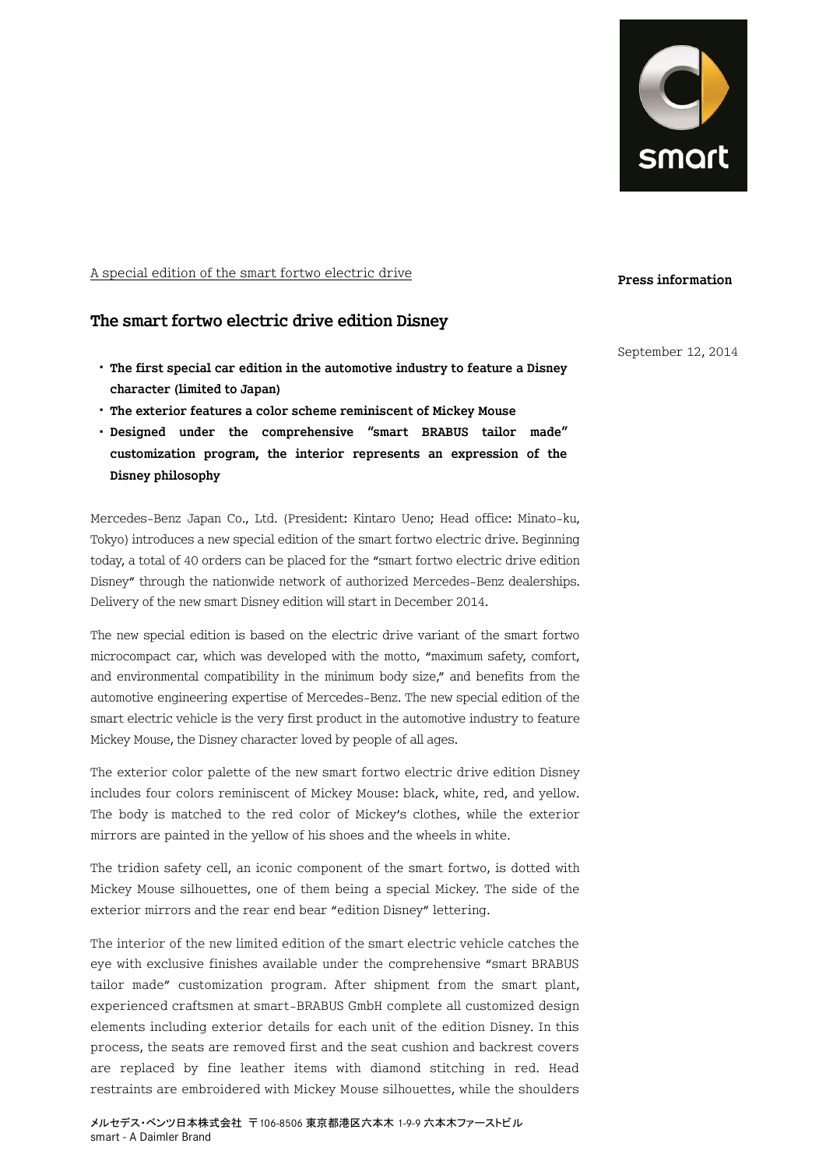

A special edition of the smart fortwo electric drive

## **The smart fortwo electric drive edition Disney**

- ・ **The first special car edition in the automotive industry to feature a Disney character (limited to Japan)**
- ・ **The exterior features a color scheme reminiscent of Mickey Mouse**
- ・ **Designed under the comprehensive "smart BRABUS tailor made" customization program, the interior represents an expression of the Disney philosophy**

Mercedes-Benz Japan Co., Ltd. (President: Kintaro Ueno; Head office: Minato-ku, Tokyo) introduces a new special edition of the smart fortwo electric drive. Beginning today, a total of 40 orders can be placed for the "smart fortwo electric drive edition Disney" through the nationwide network of authorized Mercedes-Benz dealerships. Delivery of the new smart Disney edition will start in December 2014.

The new special edition is based on the electric drive variant of the smart fortwo microcompact car, which was developed with the motto, "maximum safety, comfort, and environmental compatibility in the minimum body size," and benefits from the automotive engineering expertise of Mercedes-Benz. The new special edition of the smart electric vehicle is the very first product in the automotive industry to feature Mickey Mouse, the Disney character loved by people of all ages.

The exterior color palette of the new smart fortwo electric drive edition Disney includes four colors reminiscent of Mickey Mouse: black, white, red, and yellow. The body is matched to the red color of Mickey's clothes, while the exterior mirrors are painted in the yellow of his shoes and the wheels in white.

The tridion safety cell, an iconic component of the smart fortwo, is dotted with Mickey Mouse silhouettes, one of them being a special Mickey. The side of the exterior mirrors and the rear end bear "edition Disney" lettering.

The interior of the new limited edition of the smart electric vehicle catches the eye with exclusive finishes available under the comprehensive "smart BRABUS tailor made" customization program. After shipment from the smart plant, experienced craftsmen at smart-BRABUS GmbH complete all customized design elements including exterior details for each unit of the edition Disney. In this process, the seats are removed first and the seat cushion and backrest covers are replaced by fine leather items with diamond stitching in red. Head restraints are embroidered with Mickey Mouse silhouettes, while the shoulders

September 12, 2014

**Press information**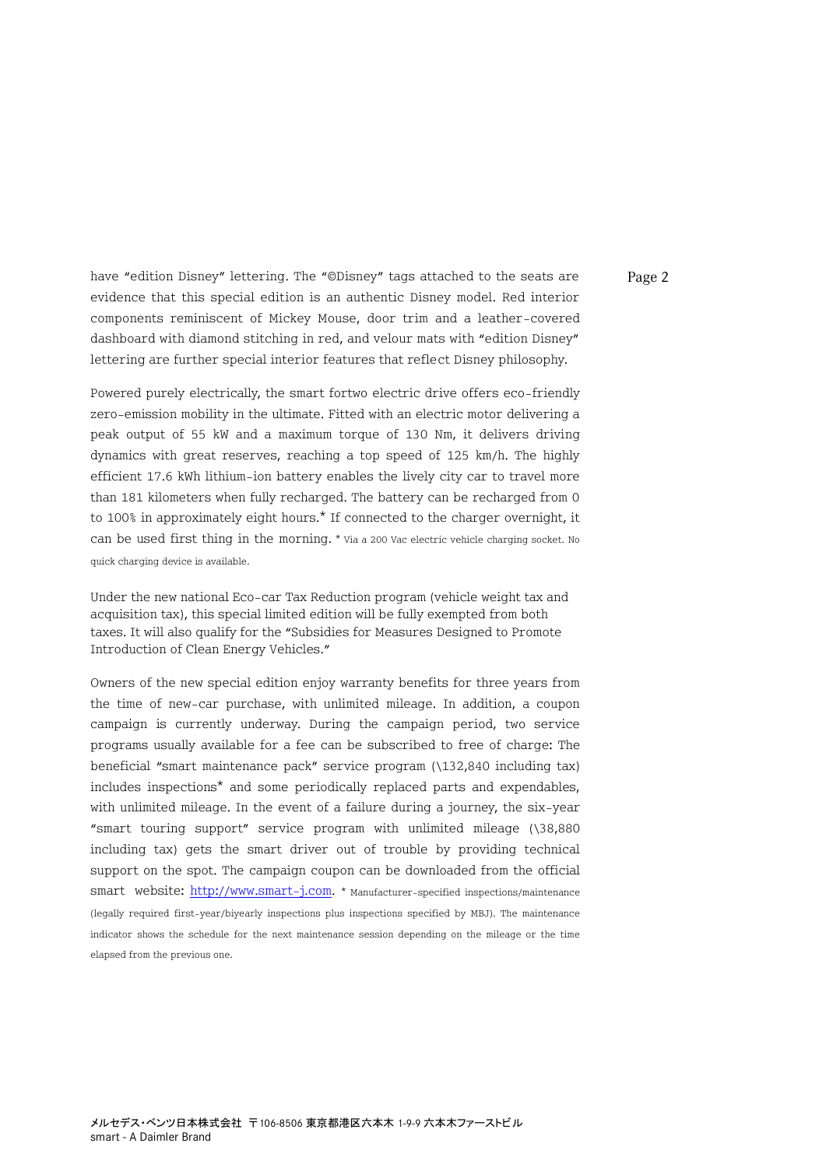have "edition Disney" lettering. The "©Disney" tags attached to the seats are Page 2 evidence that this special edition is an authentic Disney model. Red interior components reminiscent of Mickey Mouse, door trim and a leather-covered dashboard with diamond stitching in red, and velour mats with "edition Disney" lettering are further special interior features that reflect Disney philosophy.

Powered purely electrically, the smart fortwo electric drive offers eco-friendly zero-emission mobility in the ultimate. Fitted with an electric motor delivering a peak output of 55 kW and a maximum torque of 130 Nm, it delivers driving dynamics with great reserves, reaching a top speed of 125 km/h. The highly efficient 17.6 kWh lithium-ion battery enables the lively city car to travel more than 181 kilometers when fully recharged. The battery can be recharged from 0 to 100% in approximately eight hours.\* If connected to the charger overnight, it can be used first thing in the morning. \* Via a 200 Vac electric vehicle charging socket. No quick charging device is available.

Under the new national Eco-car Tax Reduction program (vehicle weight tax and acquisition tax), this special limited edition will be fully exempted from both taxes. It will also qualify for the "Subsidies for Measures Designed to Promote Introduction of Clean Energy Vehicles."

Owners of the new special edition enjoy warranty benefits for three years from the time of new-car purchase, with unlimited mileage. In addition, a coupon campaign is currently underway. During the campaign period, two service programs usually available for a fee can be subscribed to free of charge: The beneficial "smart maintenance pack" service program (\132,840 including tax) includes inspections\* and some periodically replaced parts and expendables, with unlimited mileage. In the event of a failure during a journey, the six-year "smart touring support" service program with unlimited mileage (\38,880 including tax) gets the smart driver out of trouble by providing technical support on the spot. The campaign coupon can be downloaded from the official smart website: [http://www.smart-j.com.](http://www.smart-j.com/) \* Manufacturer-specified inspections/maintenance (legally required first-year/biyearly inspections plus inspections specified by MBJ). The maintenance indicator shows the schedule for the next maintenance session depending on the mileage or the time elapsed from the previous one.